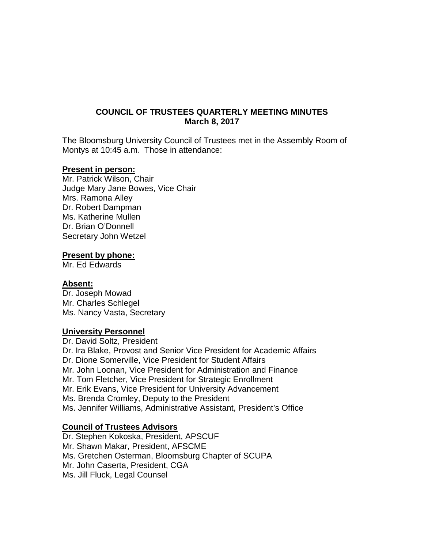## **COUNCIL OF TRUSTEES QUARTERLY MEETING MINUTES March 8, 2017**

The Bloomsburg University Council of Trustees met in the Assembly Room of Montys at 10:45 a.m. Those in attendance:

#### **Present in person:**

Mr. Patrick Wilson, Chair Judge Mary Jane Bowes, Vice Chair Mrs. Ramona Alley Dr. Robert Dampman Ms. Katherine Mullen Dr. Brian O'Donnell Secretary John Wetzel

#### **Present by phone:**

Mr. Ed Edwards

#### **Absent:**

Dr. Joseph Mowad Mr. Charles Schlegel Ms. Nancy Vasta, Secretary

#### **University Personnel**

Dr. David Soltz, President Dr. Ira Blake, Provost and Senior Vice President for Academic Affairs Dr. Dione Somerville, Vice President for Student Affairs Mr. John Loonan, Vice President for Administration and Finance Mr. Tom Fletcher, Vice President for Strategic Enrollment Mr. Erik Evans, Vice President for University Advancement Ms. Brenda Cromley, Deputy to the President Ms. Jennifer Williams, Administrative Assistant, President's Office

#### **Council of Trustees Advisors**

Dr. Stephen Kokoska, President, APSCUF Mr. Shawn Makar, President, AFSCME Ms. Gretchen Osterman, Bloomsburg Chapter of SCUPA Mr. John Caserta, President, CGA Ms. Jill Fluck, Legal Counsel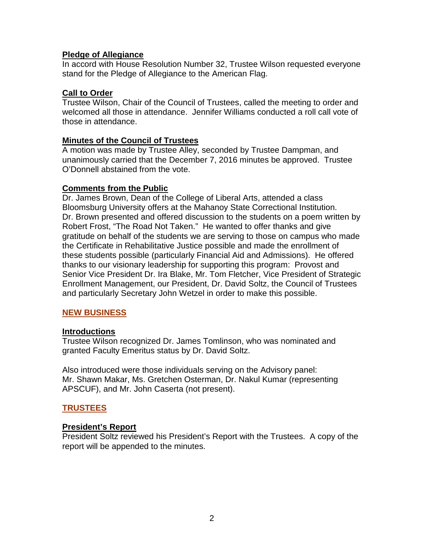## **Pledge of Allegiance**

In accord with House Resolution Number 32, Trustee Wilson requested everyone stand for the Pledge of Allegiance to the American Flag.

## **Call to Order**

Trustee Wilson, Chair of the Council of Trustees, called the meeting to order and welcomed all those in attendance. Jennifer Williams conducted a roll call vote of those in attendance.

## **Minutes of the Council of Trustees**

A motion was made by Trustee Alley, seconded by Trustee Dampman, and unanimously carried that the December 7, 2016 minutes be approved. Trustee O'Donnell abstained from the vote.

## **Comments from the Public**

Dr. James Brown, Dean of the College of Liberal Arts, attended a class Bloomsburg University offers at the Mahanoy State Correctional Institution. Dr. Brown presented and offered discussion to the students on a poem written by Robert Frost, "The Road Not Taken." He wanted to offer thanks and give gratitude on behalf of the students we are serving to those on campus who made the Certificate in Rehabilitative Justice possible and made the enrollment of these students possible (particularly Financial Aid and Admissions). He offered thanks to our visionary leadership for supporting this program: Provost and Senior Vice President Dr. Ira Blake, Mr. Tom Fletcher, Vice President of Strategic Enrollment Management, our President, Dr. David Soltz, the Council of Trustees and particularly Secretary John Wetzel in order to make this possible.

## **NEW BUSINESS**

## **Introductions**

Trustee Wilson recognized Dr. James Tomlinson, who was nominated and granted Faculty Emeritus status by Dr. David Soltz.

Also introduced were those individuals serving on the Advisory panel: Mr. Shawn Makar, Ms. Gretchen Osterman, Dr. Nakul Kumar (representing APSCUF), and Mr. John Caserta (not present).

## **TRUSTEES**

## **President's Report**

President Soltz reviewed his President's Report with the Trustees. A copy of the report will be appended to the minutes.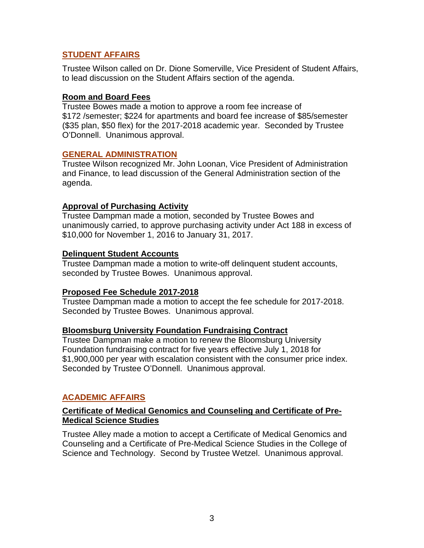# **STUDENT AFFAIRS**

Trustee Wilson called on Dr. Dione Somerville, Vice President of Student Affairs, to lead discussion on the Student Affairs section of the agenda.

## **Room and Board Fees**

Trustee Bowes made a motion to approve a room fee increase of \$172 /semester; \$224 for apartments and board fee increase of \$85/semester (\$35 plan, \$50 flex) for the 2017-2018 academic year. Seconded by Trustee O'Donnell. Unanimous approval.

## **GENERAL ADMINISTRATION**

Trustee Wilson recognized Mr. John Loonan, Vice President of Administration and Finance, to lead discussion of the General Administration section of the agenda.

## **Approval of Purchasing Activity**

Trustee Dampman made a motion, seconded by Trustee Bowes and unanimously carried, to approve purchasing activity under Act 188 in excess of \$10,000 for November 1, 2016 to January 31, 2017.

## **Delinquent Student Accounts**

Trustee Dampman made a motion to write-off delinquent student accounts, seconded by Trustee Bowes. Unanimous approval.

## **Proposed Fee Schedule 2017-2018**

Trustee Dampman made a motion to accept the fee schedule for 2017-2018. Seconded by Trustee Bowes. Unanimous approval.

## **Bloomsburg University Foundation Fundraising Contract**

Trustee Dampman make a motion to renew the Bloomsburg University Foundation fundraising contract for five years effective July 1, 2018 for \$1,900,000 per year with escalation consistent with the consumer price index. Seconded by Trustee O'Donnell. Unanimous approval.

# **ACADEMIC AFFAIRS**

## **Certificate of Medical Genomics and Counseling and Certificate of Pre-Medical Science Studies**

Trustee Alley made a motion to accept a Certificate of Medical Genomics and Counseling and a Certificate of Pre-Medical Science Studies in the College of Science and Technology. Second by Trustee Wetzel. Unanimous approval.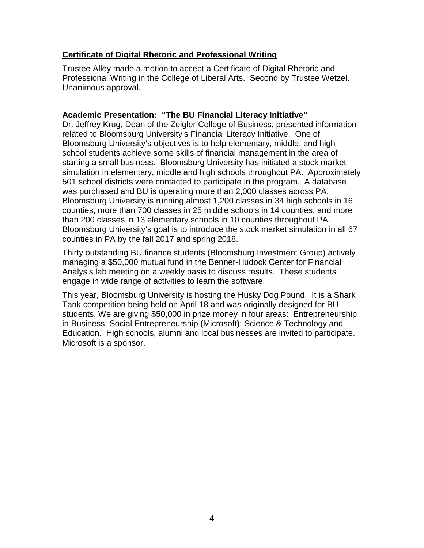# **Certificate of Digital Rhetoric and Professional Writing**

Trustee Alley made a motion to accept a Certificate of Digital Rhetoric and Professional Writing in the College of Liberal Arts. Second by Trustee Wetzel. Unanimous approval.

## **Academic Presentation: "The BU Financial Literacy Initiative"**

Dr. Jeffrey Krug, Dean of the Zeigler College of Business, presented information related to Bloomsburg University's Financial Literacy Initiative. One of Bloomsburg University's objectives is to help elementary, middle, and high school students achieve some skills of financial management in the area of starting a small business. Bloomsburg University has initiated a stock market simulation in elementary, middle and high schools throughout PA. Approximately 501 school districts were contacted to participate in the program. A database was purchased and BU is operating more than 2,000 classes across PA. Bloomsburg University is running almost 1,200 classes in 34 high schools in 16 counties, more than 700 classes in 25 middle schools in 14 counties, and more than 200 classes in 13 elementary schools in 10 counties throughout PA. Bloomsburg University's goal is to introduce the stock market simulation in all 67 counties in PA by the fall 2017 and spring 2018.

Thirty outstanding BU finance students (Bloomsburg Investment Group) actively managing a \$50,000 mutual fund in the Benner-Hudock Center for Financial Analysis lab meeting on a weekly basis to discuss results. These students engage in wide range of activities to learn the software.

This year, Bloomsburg University is hosting the Husky Dog Pound. It is a Shark Tank competition being held on April 18 and was originally designed for BU students. We are giving \$50,000 in prize money in four areas: Entrepreneurship in Business; Social Entrepreneurship (Microsoft); Science & Technology and Education. High schools, alumni and local businesses are invited to participate. Microsoft is a sponsor.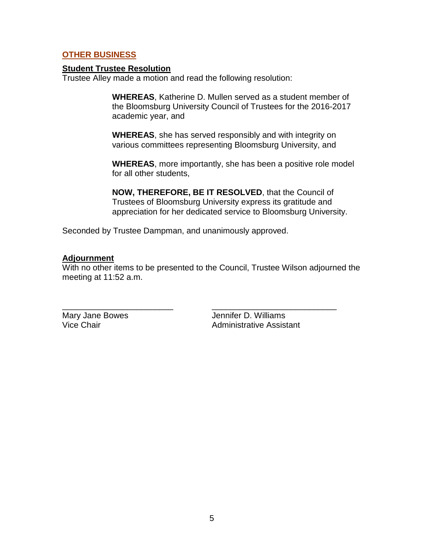## **OTHER BUSINESS**

## **Student Trustee Resolution**

Trustee Alley made a motion and read the following resolution:

**WHEREAS**, Katherine D. Mullen served as a student member of the Bloomsburg University Council of Trustees for the 2016-2017 academic year, and

**WHEREAS**, she has served responsibly and with integrity on various committees representing Bloomsburg University, and

**WHEREAS**, more importantly, she has been a positive role model for all other students,

**NOW, THEREFORE, BE IT RESOLVED**, that the Council of Trustees of Bloomsburg University express its gratitude and appreciation for her dedicated service to Bloomsburg University.

Seconded by Trustee Dampman, and unanimously approved.

## **Adjournment**

With no other items to be presented to the Council, Trustee Wilson adjourned the meeting at 11:52 a.m.

\_\_\_\_\_\_\_\_\_\_\_\_\_\_\_\_\_\_\_\_\_\_\_\_ \_\_\_\_\_\_\_\_\_\_\_\_\_\_\_\_\_\_\_\_\_\_\_\_\_\_\_ Mary Jane Bowes<br>Vice Chair **Jennifer D. Williams**<br>Administrative Assist Administrative Assistant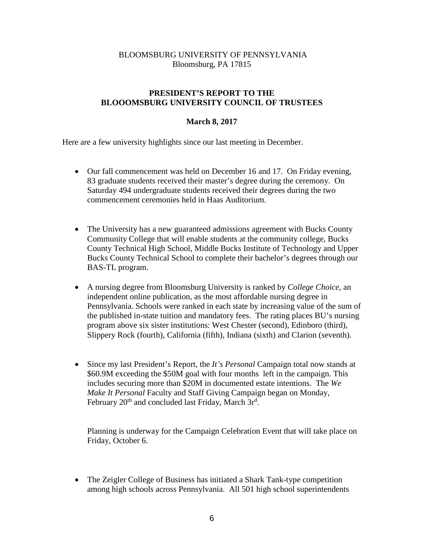## BLOOMSBURG UNIVERSITY OF PENNSYLVANIA Bloomsburg, PA 17815

#### **PRESIDENT'S REPORT TO THE BLOOOMSBURG UNIVERSITY COUNCIL OF TRUSTEES**

#### **March 8, 2017**

Here are a few university highlights since our last meeting in December.

- Our fall commencement was held on December 16 and 17. On Friday evening, 83 graduate students received their master's degree during the ceremony. On Saturday 494 undergraduate students received their degrees during the two commencement ceremonies held in Haas Auditorium.
- The University has a new guaranteed admissions agreement with Bucks County Community College that will enable students at the community college, Bucks County Technical High School, Middle Bucks Institute of Technology and Upper Bucks County Technical School to complete their bachelor's degrees through our BAS-TL program.
- A nursing degree from Bloomsburg University is ranked by *College Choice,* an independent online publication, as the most affordable nursing degree in Pennsylvania. Schools were ranked in each state by increasing value of the sum of the published in-state tuition and mandatory fees. The rating places BU's nursing program above six sister institutions: West Chester (second), Edinboro (third), Slippery Rock (fourth), California (fifth), Indiana (sixth) and Clarion (seventh).
- Since my last President's Report, the *It's Personal* Campaign total now stands at \$60.9M exceeding the \$50M goal with four months left in the campaign. This includes securing more than \$20M in documented estate intentions. The *We Make It Personal* Faculty and Staff Giving Campaign began on Monday, February 20<sup>th</sup> and concluded last Friday, March 3r<sup>d</sup>.

Planning is underway for the Campaign Celebration Event that will take place on Friday, October 6.

• The Zeigler College of Business has initiated a Shark Tank-type competition among high schools across Pennsylvania. All 501 high school superintendents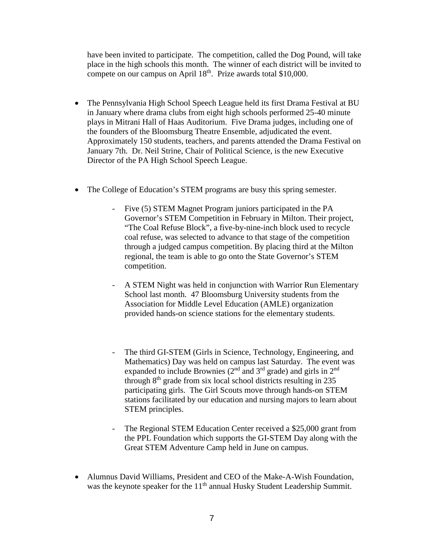have been invited to participate. The competition, called the Dog Pound, will take place in the high schools this month. The winner of each district will be invited to compete on our campus on April  $18<sup>th</sup>$ . Prize awards total \$10,000.

- The Pennsylvania High School Speech League held its first Drama Festival at BU in January where drama clubs from eight high schools performed 25-40 minute plays in Mitrani Hall of Haas Auditorium. Five Drama judges, including one of the founders of the Bloomsburg Theatre Ensemble, adjudicated the event. Approximately 150 students, teachers, and parents attended the Drama Festival on January 7th. Dr. Neil Strine, Chair of Political Science, is the new Executive Director of the PA High School Speech League.
- The College of Education's STEM programs are busy this spring semester.
	- Five (5) STEM Magnet Program juniors participated in the PA Governor's STEM Competition in February in Milton. Their project, "The Coal Refuse Block", a five-by-nine-inch block used to recycle coal refuse, was selected to advance to that stage of the competition through a judged campus competition. By placing third at the Milton regional, the team is able to go onto the State Governor's STEM competition.
	- A STEM Night was held in conjunction with Warrior Run Elementary School last month. 47 Bloomsburg University students from the Association for Middle Level Education (AMLE) organization provided hands-on science stations for the elementary students.
	- The third GI-STEM (Girls in Science, Technology, Engineering, and Mathematics) Day was held on campus last Saturday. The event was expanded to include Brownies ( $2<sup>nd</sup>$  and  $3<sup>rd</sup>$  grade) and girls in  $2<sup>nd</sup>$ through  $8<sup>th</sup>$  grade from six local school districts resulting in 235 participating girls. The Girl Scouts move through hands-on STEM stations facilitated by our education and nursing majors to learn about STEM principles.
	- The Regional STEM Education Center received a \$25,000 grant from the PPL Foundation which supports the GI-STEM Day along with the Great STEM Adventure Camp held in June on campus.
- Alumnus David Williams, President and CEO of the Make-A-Wish Foundation, was the keynote speaker for the 11<sup>th</sup> annual Husky Student Leadership Summit.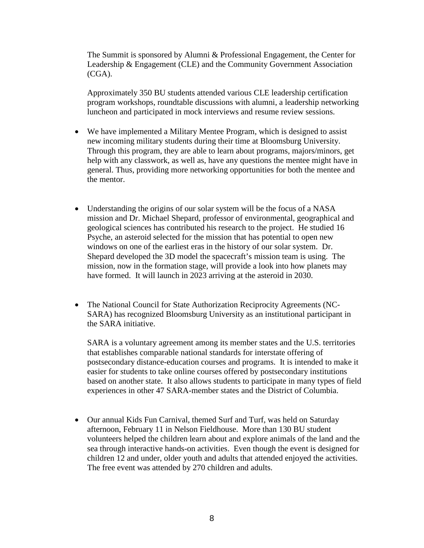The Summit is sponsored by Alumni & Professional Engagement, the Center for Leadership & Engagement (CLE) and the Community Government Association (CGA).

Approximately 350 BU students attended various CLE leadership certification program workshops, roundtable discussions with alumni, a leadership networking luncheon and participated in mock interviews and resume review sessions.

- We have implemented a Military Mentee Program, which is designed to assist new incoming military students during their time at Bloomsburg University. Through this program, they are able to learn about programs, majors/minors, get help with any classwork, as well as, have any questions the mentee might have in general. Thus, providing more networking opportunities for both the mentee and the mentor.
- Understanding the origins of our solar system will be the focus of a NASA mission and Dr. Michael Shepard, professor of environmental, geographical and geological sciences has contributed his research to the project. He studied 16 Psyche, an asteroid selected for the mission that has potential to open new windows on one of the earliest eras in the history of our solar system. Dr. Shepard developed the 3D model the spacecraft's mission team is using. The mission, now in the formation stage, will provide a look into how planets may have formed. It will launch in 2023 arriving at the asteroid in 2030.
- The National Council for State Authorization Reciprocity Agreements (NC-SARA) has recognized Bloomsburg University as an institutional participant in the SARA initiative.

SARA is a voluntary agreement among its member states and the U.S. territories that establishes comparable national standards for interstate offering of postsecondary distance-education courses and programs. It is intended to make it easier for students to take online courses offered by postsecondary institutions based on another state. It also allows students to participate in many types of field experiences in other 47 SARA-member states and the District of Columbia.

• Our annual Kids Fun Carnival, themed Surf and Turf, was held on Saturday afternoon, February 11 in Nelson Fieldhouse. More than 130 BU student volunteers helped the children learn about and explore animals of the land and the sea through interactive hands-on activities. Even though the event is designed for children 12 and under, older youth and adults that attended enjoyed the activities. The free event was attended by 270 children and adults.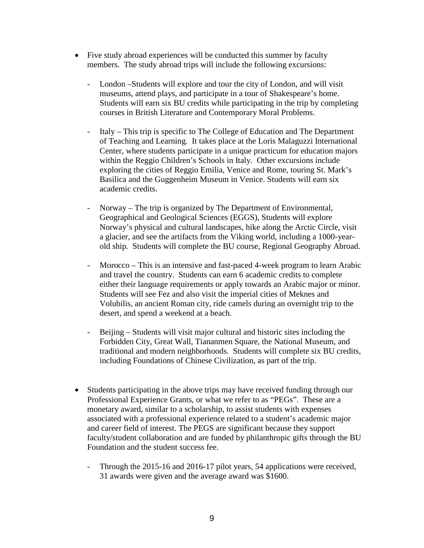- Five study abroad experiences will be conducted this summer by faculty members. The study abroad trips will include the following excursions:
	- London –Students will explore and tour the city of London, and will visit museums, attend plays, and participate in a tour of Shakespeare's home. Students will earn six BU credits while participating in the trip by completing courses in British Literature and Contemporary Moral Problems.
	- Italy This trip is specific to The College of Education and The Department of Teaching and Learning. It takes place at the Loris Malaguzzi International Center, where students participate in a unique practicum for education majors within the Reggio Children's Schools in Italy. Other excursions include exploring the cities of Reggio Emilia, Venice and Rome, touring St. Mark's Basilica and the Guggenheim Museum in Venice. Students will earn six academic credits.
	- Norway The trip is organized by The Department of Environmental, Geographical and Geological Sciences (EGGS), Students will explore Norway's physical and cultural landscapes, hike along the Arctic Circle, visit a glacier, and see the artifacts from the Viking world, including a 1000-yearold ship. Students will complete the BU course, Regional Geography Abroad.
	- Morocco This is an intensive and fast-paced 4-week program to learn Arabic and travel the country. Students can earn 6 academic credits to complete either their language requirements or apply towards an Arabic major or minor. Students will see Fez and also visit the imperial cities of Meknes and Volubilis, an ancient Roman city, ride camels during an overnight trip to the desert, and spend a weekend at a beach.
	- Beijing Students will visit major cultural and historic sites including the Forbidden City, Great Wall, Tiananmen Square, the National Museum, and traditional and modern neighborhoods. Students will complete six BU credits, including Foundations of Chinese Civilization, as part of the trip.
- Students participating in the above trips may have received funding through our Professional Experience Grants, or what we refer to as "PEGs". These are a monetary award, similar to a scholarship, to assist students with expenses associated with a professional experience related to a student's academic major and career field of interest. The PEGS are significant because they support faculty/student collaboration and are funded by philanthropic gifts through the BU Foundation and the student success fee.
	- Through the 2015-16 and 2016-17 pilot years, 54 applications were received, 31 awards were given and the average award was \$1600.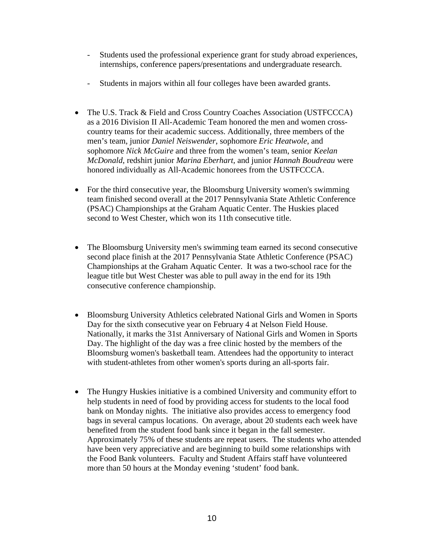- Students used the professional experience grant for study abroad experiences, internships, conference papers/presentations and undergraduate research.
- Students in majors within all four colleges have been awarded grants.
- The U.S. Track & Field and Cross Country Coaches Association (USTFCCCA) as a 2016 Division II All-Academic Team honored the men and women crosscountry teams for their academic success. Additionally, three members of the men's team, junior *Daniel Neiswender*, sophomore *Eric Heatwole*, and sophomore *Nick McGuire* and three from the women's team, senior *Keelan McDonald*, redshirt junior *Marina Eberhart,* and junior *Hannah Boudreau* were honored individually as All-Academic honorees from the USTFCCCA.
- For the third consecutive year, the Bloomsburg University women's swimming team finished second overall at the 2017 Pennsylvania State Athletic Conference (PSAC) Championships at the Graham Aquatic Center. The Huskies placed second to West Chester, which won its 11th consecutive title.
- The Bloomsburg University men's swimming team earned its second consecutive second place finish at the 2017 Pennsylvania State Athletic Conference (PSAC) Championships at the Graham Aquatic Center. It was a two-school race for the league title but West Chester was able to pull away in the end for its 19th consecutive conference championship.
- Bloomsburg University Athletics celebrated National Girls and Women in Sports Day for the sixth consecutive year on February 4 at Nelson Field House. Nationally, it marks the 31st Anniversary of National Girls and Women in Sports Day. The highlight of the day was a free clinic hosted by the members of the Bloomsburg women's basketball team. Attendees had the opportunity to interact with student-athletes from other women's sports during an all-sports fair.
- The Hungry Huskies initiative is a combined University and community effort to help students in need of food by providing access for students to the local food bank on Monday nights. The initiative also provides access to emergency food bags in several campus locations. On average, about 20 students each week have benefited from the student food bank since it began in the fall semester. Approximately 75% of these students are repeat users. The students who attended have been very appreciative and are beginning to build some relationships with the Food Bank volunteers. Faculty and Student Affairs staff have volunteered more than 50 hours at the Monday evening 'student' food bank.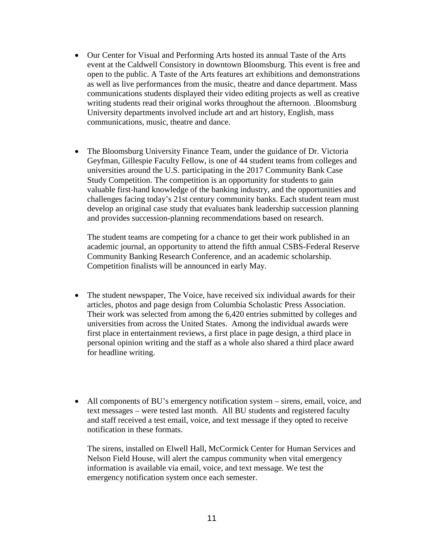- Our Center for Visual and Performing Arts hosted its annual Taste of the Arts event at the Caldwell Consistory in downtown Bloomsburg. This event is free and open to the public. A Taste of the Arts features art exhibitions and demonstrations as well as live performances from the music, theatre and dance department. Mass communications students displayed their video editing projects as well as creative writing students read their original works throughout the afternoon. .Bloomsburg University departments involved include art and art history, English, mass communications, music, theatre and dance.
- The Bloomsburg University Finance Team, under the guidance of Dr. Victoria Geyfman, Gillespie Faculty Fellow, is one of 44 student teams from colleges and universities around the U.S. participating in the 2017 Community Bank Case Study Competition. The competition is an opportunity for students to gain valuable first-hand knowledge of the banking industry, and the opportunities and challenges facing today's 21st century community banks. Each student team must develop an original case study that evaluates bank leadership succession planning and provides succession-planning recommendations based on research.

The student teams are competing for a chance to get their work published in an academic journal, an opportunity to attend the fifth annual CSBS-Federal Reserve Community Banking Research Conference, and an academic scholarship. Competition finalists will be announced in early May.

- The student newspaper, The Voice, have received six individual awards for their articles, photos and page design from Columbia Scholastic Press Association. Their work was selected from among the 6,420 entries submitted by colleges and universities from across the United States. Among the individual awards were first place in entertainment reviews, a first place in page design, a third place in personal opinion writing and the staff as a whole also shared a third place award for headline writing.
- All components of BU's emergency notification system sirens, email, voice, and text messages – were tested last month. All BU students and registered faculty and staff received a test email, voice, and text message if they opted to receive notification in these formats.

The sirens, installed on Elwell Hall, McCormick Center for Human Services and Nelson Field House, will alert the campus community when vital emergency information is available via email, voice, and text message. We test the emergency notification system once each semester.